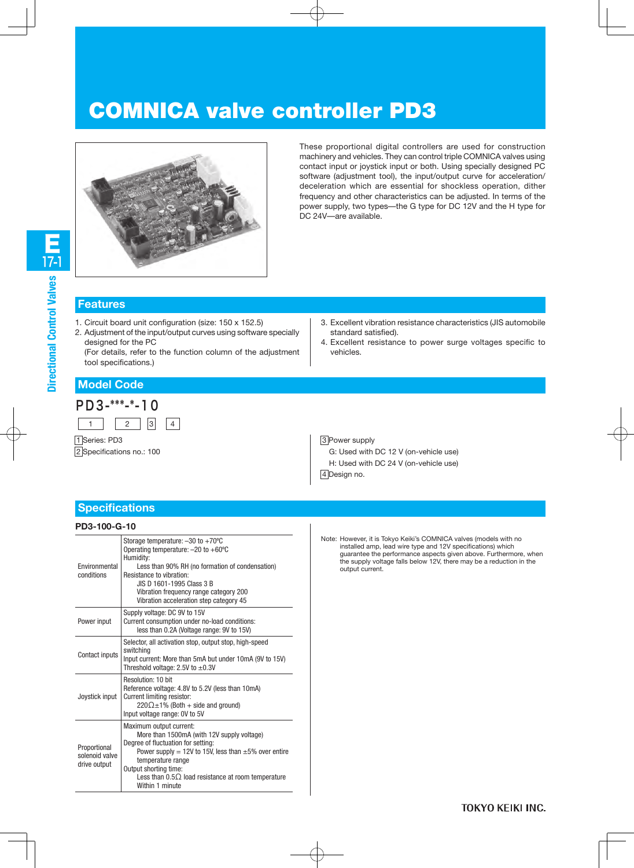# COMNICA valve controller PD3



These proportional digital controllers are used for construction machinery and vehicles. They can control triple COMNICA valves using contact input or joystick input or both. Using specially designed PC software (adjustment tool), the input/output curve for acceleration/ deceleration which are essential for shockless operation, dither frequency and other characteristics can be adjusted. In terms of the power supply, two types—the G type for DC 12V and the H type for DC 24V—are available.

### **Features**

- 1. Circuit board unit configuration (size: 150 x 152.5)
- 2. Adjustment of the input/output curves using software specially designed for the PC

(For details, refer to the function column of the adjustment tool specifications.)

- 3. Excellent vibration resistance characteristics (JIS automobile standard satisfied).
- 4. Excellent resistance to power surge voltages specific to vehicles.

# **Model Code**



1 Series: PD3 2 Specifications no.: 100 3 Power supply G: Used with DC 12 V (on-vehicle use) H: Used with DC 24 V (on-vehicle use) 4 Design no.

## **Specifications**

#### **PD3-100-G-10**

| Environmental<br>conditions                    | Storage temperature: $-30$ to $+70^{\circ}$ C<br>Operating temperature: $-20$ to $+60^{\circ}$ C<br>Humidity:<br>Less than 90% RH (no formation of condensation)<br>Resistance to vibration:<br>JIS D 1601-1995 Class 3 B<br>Vibration frequency range category 200<br>Vibration acceleration step category 45 |
|------------------------------------------------|----------------------------------------------------------------------------------------------------------------------------------------------------------------------------------------------------------------------------------------------------------------------------------------------------------------|
| Power input                                    | Supply voltage: DC 9V to 15V<br>Current consumption under no-load conditions:<br>less than 0.2A (Voltage range: 9V to 15V)                                                                                                                                                                                     |
| Contact inputs                                 | Selector, all activation stop, output stop, high-speed<br>switching<br>Input current: More than 5mA but under 10mA (9V to 15V)<br>Threshold voltage: 2.5V to $\pm 0.3V$                                                                                                                                        |
| Joystick input                                 | Resolution: 10 bit<br>Reference voltage: 4.8V to 5.2V (less than 10mA)<br>Current limiting resistor:<br>$220\Omega \pm 1\%$ (Both + side and ground)<br>Input voltage range: 0V to 5V                                                                                                                          |
| Proportional<br>solenoid valve<br>drive output | Maximum output current:<br>More than 1500mA (with 12V supply voltage)<br>Degree of fluctuation for setting:<br>Power supply = 12V to 15V, less than $\pm 5\%$ over entire<br>temperature range<br>Output shorting time:<br>Less than $0.5\Omega$ load resistance at room temperature<br>Within 1 minute        |

Note: However, it is Tokyo Keiki's COMNICA valves (models with no installed amp, lead wire type and 12V specifications) which guarantee the performance aspects given above. Furthermore, when the supply voltage falls below 12V, there may be a reduction in the output current.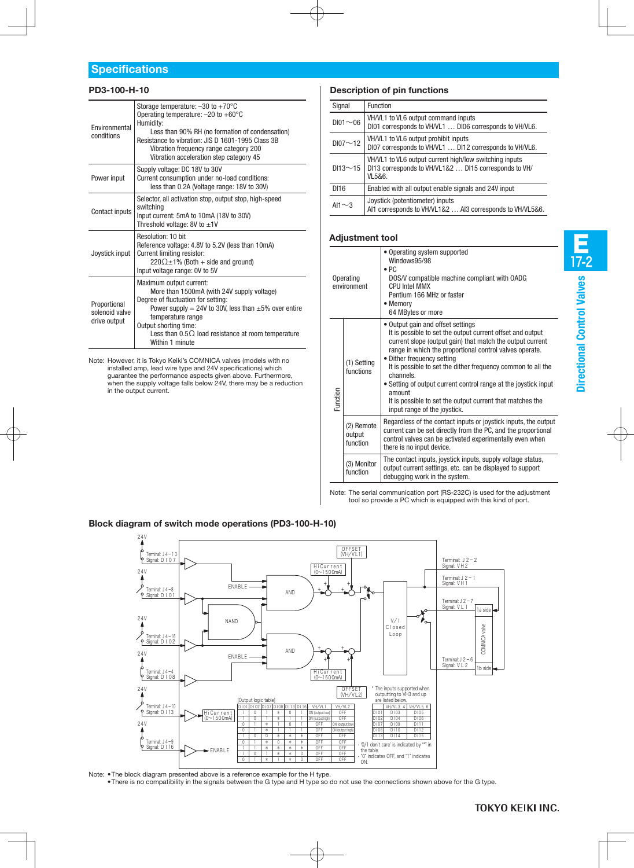#### **PD3-100-H-10**

| Fnvironmental<br>conditions                    | Storage temperature: $-30$ to $+70^{\circ}$ C<br>Operating temperature: $-20$ to $+60^{\circ}$ C<br>Humidity:<br>Less than 90% RH (no formation of condensation)<br>Resistance to vibration: JIS D 1601-1995 Class 3B<br>Vibration frequency range category 200<br>Vibration acceleration step category 45 |
|------------------------------------------------|------------------------------------------------------------------------------------------------------------------------------------------------------------------------------------------------------------------------------------------------------------------------------------------------------------|
| Power input                                    | Supply voltage: DC 18V to 30V<br>Current consumption under no-load conditions:<br>less than 0.2A (Voltage range: 18V to 30V)                                                                                                                                                                               |
| Contact inputs                                 | Selector, all activation stop, output stop, high-speed<br>switching<br>Input current: 5mA to 10mA (18V to 30V)<br>Threshold voltage: 8V to $\pm$ 1V                                                                                                                                                        |
| Joystick input                                 | Resolution: 10 bit<br>Reference voltage: 4.8V to 5.2V (less than 10mA)<br>Current limiting resistor:<br>$220\Omega \pm 1\%$ (Both + side and ground)<br>Input voltage range: 0V to 5V                                                                                                                      |
| Proportional<br>solenoid valve<br>drive output | Maximum output current:<br>More than 1500mA (with 24V supply voltage)<br>Degree of fluctuation for setting:<br>Power supply = 24V to 30V, less than $\pm 5\%$ over entire<br>temperature range<br>Output shorting time:<br>Less than $0.5\Omega$ load resistance at room temperature<br>Within 1 minute    |

Note: However, it is Tokyo Keiki's COMNICA valves (models with no installed amp, lead wire type and 24V specifications) which guarantee the performance aspects given above. Furthermore, when the supply voltage falls below 24V, there may be a reduction in the output current.

#### **Description of pin functions**

| Signal         | Function                                                                                                                  |
|----------------|---------------------------------------------------------------------------------------------------------------------------|
| $D101 \sim 06$ | VH/VL1 to VL6 output command inputs<br>DI01 corresponds to VH/VL1  DI06 corresponds to VH/VL6.                            |
| $D107 \sim 12$ | VH/VL1 to VL6 output prohibit inputs<br>DI07 corresponds to VH/VL1  DI12 corresponds to VH/VL6.                           |
| $DI13 \sim 15$ | VH/VL1 to VL6 output current high/low switching inputs<br>DI13 corresponds to VH/VL1&2  DI15 corresponds to VH/<br>VL5&6. |
| DI16           | Enabled with all output enable signals and 24V input                                                                      |
| AI1 $\sim$ 3   | Joystick (potentiometer) inputs<br>Al1 corresponds to VH/VL1&2  Al3 corresponds to VH/VL5&6.                              |

#### **Adjustment tool**

| Operating<br>environment |                                  | • Operating system supported<br>Windows95/98<br>$\bullet$ PC<br>DOS/V compatible machine compliant with OADG<br>CPI I Intel MMX<br>Pentium 166 MHz or faster<br>• Memory<br>64 MBytes or more                                                                                                                                                                                                                                                                                                                |
|--------------------------|----------------------------------|--------------------------------------------------------------------------------------------------------------------------------------------------------------------------------------------------------------------------------------------------------------------------------------------------------------------------------------------------------------------------------------------------------------------------------------------------------------------------------------------------------------|
| Function                 | (1) Setting<br>functions         | • Output gain and offset settings<br>It is possible to set the output current offset and output<br>current slope (output gain) that match the output current<br>range in which the proportional control valves operate.<br>• Dither frequency setting<br>It is possible to set the dither frequency common to all the<br>channels.<br>• Setting of output current control range at the joystick input<br>amount<br>It is possible to set the output current that matches the<br>input range of the joystick. |
|                          | (2) Remote<br>output<br>function | Regardless of the contact inputs or joystick inputs, the output<br>current can be set directly from the PC, and the proportional<br>control valves can be activated experimentally even when<br>there is no input device.                                                                                                                                                                                                                                                                                    |
|                          | (3) Monitor<br>function          | The contact inputs, joystick inputs, supply voltage status,<br>output current settings, etc. can be displayed to support<br>debugging work in the system.                                                                                                                                                                                                                                                                                                                                                    |

Note: The serial communication port (RS-232C) is used for the adjustment tool so provide a PC which is equipped with this kind of port.

#### **Block diagram of switch mode operations (PD3-100-H-10)**



Note: •The block diagram presented above is a reference example for the H type. •There is no compatibility in the signals between the G type and H type so do not use the connections shown above for the G type.